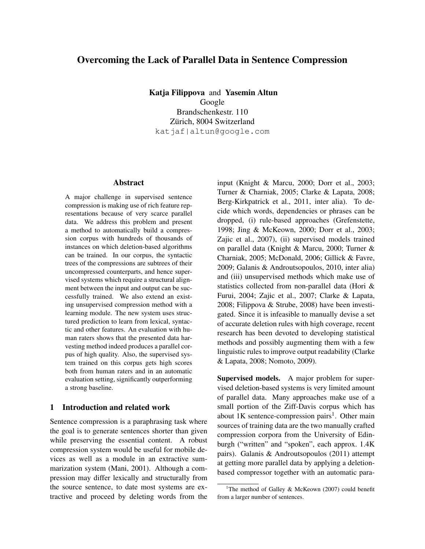# Overcoming the Lack of Parallel Data in Sentence Compression

Katja Filippova and Yasemin Altun Google Brandschenkestr. 110 Zürich, 8004 Switzerland katjaf|altun@google.com

## Abstract

A major challenge in supervised sentence compression is making use of rich feature representations because of very scarce parallel data. We address this problem and present a method to automatically build a compression corpus with hundreds of thousands of instances on which deletion-based algorithms can be trained. In our corpus, the syntactic trees of the compressions are subtrees of their uncompressed counterparts, and hence supervised systems which require a structural alignment between the input and output can be successfully trained. We also extend an existing unsupervised compression method with a learning module. The new system uses structured prediction to learn from lexical, syntactic and other features. An evaluation with human raters shows that the presented data harvesting method indeed produces a parallel corpus of high quality. Also, the supervised system trained on this corpus gets high scores both from human raters and in an automatic evaluation setting, significantly outperforming a strong baseline.

# 1 Introduction and related work

Sentence compression is a paraphrasing task where the goal is to generate sentences shorter than given while preserving the essential content. A robust compression system would be useful for mobile devices as well as a module in an extractive summarization system (Mani, 2001). Although a compression may differ lexically and structurally from the source sentence, to date most systems are extractive and proceed by deleting words from the

input (Knight & Marcu, 2000; Dorr et al., 2003; Turner & Charniak, 2005; Clarke & Lapata, 2008; Berg-Kirkpatrick et al., 2011, inter alia). To decide which words, dependencies or phrases can be dropped, (i) rule-based approaches (Grefenstette, 1998; Jing & McKeown, 2000; Dorr et al., 2003; Zajic et al., 2007), (ii) supervised models trained on parallel data (Knight & Marcu, 2000; Turner & Charniak, 2005; McDonald, 2006; Gillick & Favre, 2009; Galanis & Androutsopoulos, 2010, inter alia) and (iii) unsupervised methods which make use of statistics collected from non-parallel data (Hori & Furui, 2004; Zajic et al., 2007; Clarke & Lapata, 2008; Filippova & Strube, 2008) have been investigated. Since it is infeasible to manually devise a set of accurate deletion rules with high coverage, recent research has been devoted to developing statistical methods and possibly augmenting them with a few linguistic rules to improve output readability (Clarke & Lapata, 2008; Nomoto, 2009).

Supervised models. A major problem for supervised deletion-based systems is very limited amount of parallel data. Many approaches make use of a small portion of the Ziff-Davis corpus which has about 1K sentence-compression pairs<sup>1</sup>. Other main sources of training data are the two manually crafted compression corpora from the University of Edinburgh ("written" and "spoken", each approx. 1.4K pairs). Galanis & Androutsopoulos (2011) attempt at getting more parallel data by applying a deletionbased compressor together with an automatic para-

<sup>&</sup>lt;sup>1</sup>The method of Galley & McKeown (2007) could benefit from a larger number of sentences.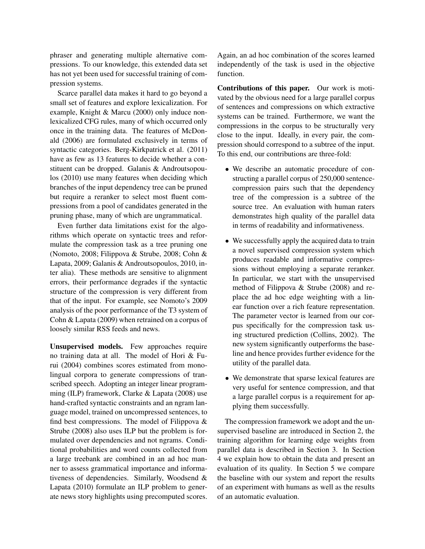phraser and generating multiple alternative compressions. To our knowledge, this extended data set has not yet been used for successful training of compression systems.

Scarce parallel data makes it hard to go beyond a small set of features and explore lexicalization. For example, Knight & Marcu (2000) only induce nonlexicalized CFG rules, many of which occurred only once in the training data. The features of McDonald (2006) are formulated exclusively in terms of syntactic categories. Berg-Kirkpatrick et al. (2011) have as few as 13 features to decide whether a constituent can be dropped. Galanis & Androutsopoulos (2010) use many features when deciding which branches of the input dependency tree can be pruned but require a reranker to select most fluent compressions from a pool of candidates generated in the pruning phase, many of which are ungrammatical.

Even further data limitations exist for the algorithms which operate on syntactic trees and reformulate the compression task as a tree pruning one (Nomoto, 2008; Filippova & Strube, 2008; Cohn & Lapata, 2009; Galanis & Androutsopoulos, 2010, inter alia). These methods are sensitive to alignment errors, their performance degrades if the syntactic structure of the compression is very different from that of the input. For example, see Nomoto's 2009 analysis of the poor performance of the T3 system of Cohn & Lapata (2009) when retrained on a corpus of loosely similar RSS feeds and news.

Unsupervised models. Few approaches require no training data at all. The model of Hori & Furui (2004) combines scores estimated from monolingual corpora to generate compressions of transcribed speech. Adopting an integer linear programming (ILP) framework, Clarke & Lapata (2008) use hand-crafted syntactic constraints and an ngram language model, trained on uncompressed sentences, to find best compressions. The model of Filippova  $\&$ Strube (2008) also uses ILP but the problem is formulated over dependencies and not ngrams. Conditional probabilities and word counts collected from a large treebank are combined in an ad hoc manner to assess grammatical importance and informativeness of dependencies. Similarly, Woodsend & Lapata (2010) formulate an ILP problem to generate news story highlights using precomputed scores.

Again, an ad hoc combination of the scores learned independently of the task is used in the objective function.

Contributions of this paper. Our work is motivated by the obvious need for a large parallel corpus of sentences and compressions on which extractive systems can be trained. Furthermore, we want the compressions in the corpus to be structurally very close to the input. Ideally, in every pair, the compression should correspond to a subtree of the input. To this end, our contributions are three-fold:

- We describe an automatic procedure of constructing a parallel corpus of 250,000 sentencecompression pairs such that the dependency tree of the compression is a subtree of the source tree. An evaluation with human raters demonstrates high quality of the parallel data in terms of readability and informativeness.
- We successfully apply the acquired data to train a novel supervised compression system which produces readable and informative compressions without employing a separate reranker. In particular, we start with the unsupervised method of Filippova & Strube (2008) and replace the ad hoc edge weighting with a linear function over a rich feature representation. The parameter vector is learned from our corpus specifically for the compression task using structured prediction (Collins, 2002). The new system significantly outperforms the baseline and hence provides further evidence for the utility of the parallel data.
- We demonstrate that sparse lexical features are very useful for sentence compression, and that a large parallel corpus is a requirement for applying them successfully.

The compression framework we adopt and the unsupervised baseline are introduced in Section 2, the training algorithm for learning edge weights from parallel data is described in Section 3. In Section 4 we explain how to obtain the data and present an evaluation of its quality. In Section 5 we compare the baseline with our system and report the results of an experiment with humans as well as the results of an automatic evaluation.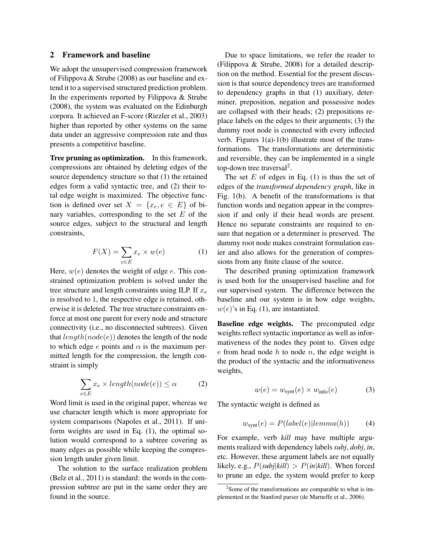#### 2 Framework and baseline

We adopt the unsupervised compression framework of Filippova & Strube (2008) as our baseline and extend it to a supervised structured prediction problem. In the experiments reported by Filippova & Strube (2008), the system was evaluated on the Edinburgh corpora. It achieved an F-score (Riezler et al., 2003) higher than reported by other systems on the same data under an aggressive compression rate and thus presents a competitive baseline.

Tree pruning as optimization. In this framework, compressions are obtained by deleting edges of the source dependency structure so that (1) the retained edges form a valid syntactic tree, and (2) their total edge weight is maximized. The objective function is defined over set  $X = \{x_e, e \in E\}$  of binary variables, corresponding to the set  $E$  of the source edges, subject to the structural and length constraints,

$$
F(X) = \sum_{e \in E} x_e \times w(e) \tag{1}
$$

Here,  $w(e)$  denotes the weight of edge e. This constrained optimization problem is solved under the tree structure and length constraints using ILP. If  $x_e$ is resolved to 1, the respective edge is retained, otherwise it is deleted. The tree structure constraints enforce at most one parent for every node and structure connectivity (i.e., no disconnected subtrees). Given that  $length(node(e))$  denotes the length of the node to which edge  $e$  points and  $\alpha$  is the maximum permitted length for the compression, the length constraint is simply

$$
\sum_{e \in E} x_e \times length(node(e)) \le \alpha \tag{2}
$$

Word limit is used in the original paper, whereas we use character length which is more appropriate for system comparisons (Napoles et al., 2011). If uniform weights are used in Eq. (1), the optimal solution would correspond to a subtree covering as many edges as possible while keeping the compression length under given limit.

The solution to the surface realization problem (Belz et al., 2011) is standard: the words in the compression subtree are put in the same order they are found in the source.

Due to space limitations, we refer the reader to (Filippova & Strube, 2008) for a detailed description on the method. Essential for the present discussion is that source dependency trees are transformed to dependency graphs in that (1) auxiliary, determiner, preposition, negation and possessive nodes are collapsed with their heads; (2) prepositions replace labels on the edges to their arguments; (3) the dummy root node is connected with every inflected verb. Figures 1(a)-1(b) illustrate most of the transformations. The transformations are deterministic and reversible, they can be implemented in a single top-down tree traversal<sup>2</sup>.

The set  $E$  of edges in Eq. (1) is thus the set of edges of the *transformed dependency graph*, like in Fig. 1(b). A benefit of the transformations is that function words and negation appear in the compression if and only if their head words are present. Hence no separate constraints are required to ensure that negation or a determiner is preserved. The dummy root node makes constraint formulation easier and also allows for the generation of compressions from any finite clause of the source.

The described pruning optimization framework is used both for the unsupervised baseline and for our supervised system. The difference between the baseline and our system is in how edge weights,  $w(e)$ 's in Eq. (1), are instantiated.

Baseline edge weights. The precomputed edge weights reflect syntactic importance as well as informativeness of the nodes they point to. Given edge  $e$  from head node  $h$  to node  $n$ , the edge weight is the product of the syntactic and the informativeness weights,

$$
w(e) = w_{\text{synt}}(e) \times w_{\text{info}}(e) \tag{3}
$$

The syntactic weight is defined as

$$
w_{\text{synt}}(e) = P(label(e)| lemma(h)) \tag{4}
$$

For example, verb *kill* may have multiple arguments realized with dependency labels *subj*, *dobj*, *in*, etc. However, these argument labels are not equally likely, e.g.,  $P(subj|kill) > P(in|kill)$ . When forced to prune an edge, the system would prefer to keep

<sup>&</sup>lt;sup>2</sup>Some of the transformations are comparable to what is implemented in the Stanford parser (de Marneffe et al., 2006).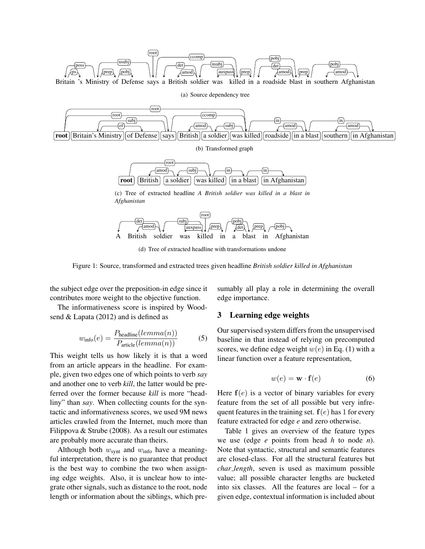

(a) Source dependency tree



(b) Transformed graph

$$
\fbox{root}\xrightarrow{\text{(root)}}\xrightarrow{\text{(amod)}\xrightarrow{\text{(subij)}}\xrightarrow{\text{(in)}}\xrightarrow{\text{(in)}}\xrightarrow{\text{(in)}}\xrightarrow{\text{(in)}}\xrightarrow{\text{(out)}}\xrightarrow{\text{(arasing)}}\xrightarrow{\text{(out)}}\xrightarrow{\text{(in)}\xrightarrow{\text{(in)}}\xrightarrow{\text{(in)}\xrightarrow{\text{(in)}\xrightarrow{\text{(in)}\xrightarrow{\text{(in)}\xrightarrow{\text{(in)}\xrightarrow{\text{(in)}\xrightarrow{\text{(in)}\xrightarrow{\text{(in)}\xrightarrow{\text{(in)}\xrightarrow{\text{(in)}\xrightarrow{\text{(in)}\xrightarrow{\text{(in)}\xrightarrow{\text{(in)}\xrightarrow{\text{(in)}\xrightarrow{\text{(in)}\xrightarrow{\text{(in)}\xrightarrow{\text{(in)}\xrightarrow{\text{(in)}\xrightarrow{\text{(in)}\xrightarrow{\text{(in)}\xrightarrow{\text{(in)}\xrightarrow{\text{(in)}\xrightarrow{\text{(in)}\xrightarrow{\text{(in)}\xrightarrow{\text{(in)}\xrightarrow{\text{(in)}\xrightarrow{\text{(in)}\xrightarrow{\text{(in)}\xrightarrow{\text{(in)}\xrightarrow{\text{(in)}\xrightarrow{\text{(in)}\xrightarrow{\text{(in)}\xrightarrow{\text{(in)}\xrightarrow{\text{(in)}\xrightarrow{\text{(in)}\xrightarrow{\text{(in)}\xrightarrow{\text{(in)}\xrightarrow{\text{(in)}\xrightarrow{\text{(in)}\xrightarrow{\text{(in)}\xrightarrow{\text{(in)}\xrightarrow{\text{(in)}\xrightarrow{\text{(in)}\xrightarrow{\text{(in)}\xrightarrow{\text{(in)}\xrightarrow{\text{(in)}\xrightarrow{\text{(in)}\xrightarrow{\text{(in)}\xrightarrow{\text{(in)}\xrightarrow{\text{(in)}\xrightarrow{\text{(in)}\xrightarrow{\text{(in)}\xrightarrow{\text{(in)}\xrightarrow{\text{(in)}\xrightarrow{\text{(in)}\xrightarrow{\text{(in)}\xrightarrow{\text{(in)}\xrightarrow{\text{(in)}\xrightarrow{\text{(in)}\xrightarrow{\text{(in)}\xrightarrow{\text{(in)}\xrightarrow{\text{(in)}\xrightarrow{\text{(in)}\xrightarrow{\text{(in)}\xrightarrow{\text{(in)}\xrightarrow{\text{(in)}\xrightarrow{\text{(in)}\xrightarrow{\text{(in)}\xrightarrow{\text{(in)}\xrightarrow{\text{(in)}\xrightarrow{\text{(in)}\xrightarrow{\text{(in)}\xrightarrow{\text{(in)}\xrightarrow{\text{(in)}\xrightarrow{\text{(in)}\xrightarrow{\text{(in)}\xrightarrow{\text{(in)}\xrightarrow{\text{(in)}\xrightarrow{\text{(in)}\xrightarrow{\text{(in)}\xrightarrow{\text{(in)}\xrightarrow{\text{(
$$

(c) Tree of extracted headline *A British soldier was killed in a blast in Afghanistan*



(d) Tree of extracted headline with transformations undone

Figure 1: Source, transformed and extracted trees given headline *British soldier killed in Afghanistan*

the subject edge over the preposition-in edge since it contributes more weight to the objective function.

The informativeness score is inspired by Woodsend & Lapata (2012) and is defined as

$$
w_{\text{info}}(e) = \frac{P_{\text{headline}}(lemma(n))}{P_{\text{article}}(lemma(n))}
$$
(5)

This weight tells us how likely it is that a word from an article appears in the headline. For example, given two edges one of which points to verb *say* and another one to verb *kill*, the latter would be preferred over the former because *kill* is more "headliny" than *say*. When collecting counts for the syntactic and informativeness scores, we used 9M news articles crawled from the Internet, much more than Filippova & Strube (2008). As a result our estimates are probably more accurate than theirs.

Although both  $w_{\text{synt}}$  and  $w_{\text{info}}$  have a meaningful interpretation, there is no guarantee that product is the best way to combine the two when assigning edge weights. Also, it is unclear how to integrate other signals, such as distance to the root, node length or information about the siblings, which presumably all play a role in determining the overall edge importance.

#### 3 Learning edge weights

Our supervised system differs from the unsupervised baseline in that instead of relying on precomputed scores, we define edge weight  $w(e)$  in Eq. (1) with a linear function over a feature representation,

$$
w(e) = \mathbf{w} \cdot \mathbf{f}(e) \tag{6}
$$

Here  $f(e)$  is a vector of binary variables for every feature from the set of all possible but very infrequent features in the training set.  $f(e)$  has 1 for every feature extracted for edge *e* and zero otherwise.

Table 1 gives an overview of the feature types we use (edge *e* points from head *h* to node *n*). Note that syntactic, structural and semantic features are closed-class. For all the structural features but *char length*, seven is used as maximum possible value; all possible character lengths are bucketed into six classes. All the features are local – for a given edge, contextual information is included about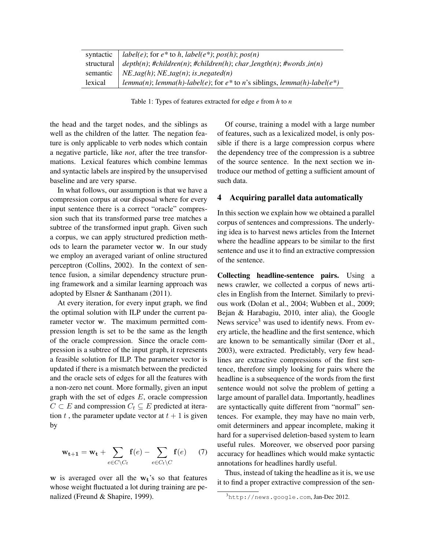| syntactic | <i>label(e)</i> ; for $e^*$ to h, <i>label(e<sup>*</sup>)</i> ; $pos(h)$ ; $pos(n)$   |
|-----------|---------------------------------------------------------------------------------------|
|           | structural $\vert$ depth(n); #children(n); #children(h); char_length(n); #words_in(n) |
|           | semantic   NE_tag(h); NE_tag(n); is_negated(n)                                        |
| lexical   | $lemma(n); lemma(h)-label(e);$ for $e^*$ to n's siblings, $lemma(h)-label(e^*)$       |

Table 1: Types of features extracted for edge *e* from *h* to *n*

the head and the target nodes, and the siblings as well as the children of the latter. The negation feature is only applicable to verb nodes which contain a negative particle, like *not*, after the tree transformations. Lexical features which combine lemmas and syntactic labels are inspired by the unsupervised baseline and are very sparse.

In what follows, our assumption is that we have a compression corpus at our disposal where for every input sentence there is a correct "oracle" compression such that its transformed parse tree matches a subtree of the transformed input graph. Given such a corpus, we can apply structured prediction methods to learn the parameter vector w. In our study we employ an averaged variant of online structured perceptron (Collins, 2002). In the context of sentence fusion, a similar dependency structure pruning framework and a similar learning approach was adopted by Elsner & Santhanam (2011).

At every iteration, for every input graph, we find the optimal solution with ILP under the current parameter vector w. The maximum permitted compression length is set to be the same as the length of the oracle compression. Since the oracle compression is a subtree of the input graph, it represents a feasible solution for ILP. The parameter vector is updated if there is a mismatch between the predicted and the oracle sets of edges for all the features with a non-zero net count. More formally, given an input graph with the set of edges  $E$ , oracle compression  $C \subset E$  and compression  $C_t \subseteq E$  predicted at iteration t, the parameter update vector at  $t + 1$  is given by

$$
\mathbf{w_{t+1}} = \mathbf{w_t} + \sum_{e \in C \setminus C_t} \mathbf{f}(e) - \sum_{e \in C_t \setminus C} \mathbf{f}(e) \tag{7}
$$

 $w$  is averaged over all the  $w_t$ 's so that features whose weight fluctuated a lot during training are penalized (Freund & Shapire, 1999).

Of course, training a model with a large number of features, such as a lexicalized model, is only possible if there is a large compression corpus where the dependency tree of the compression is a subtree of the source sentence. In the next section we introduce our method of getting a sufficient amount of such data.

#### 4 Acquiring parallel data automatically

In this section we explain how we obtained a parallel corpus of sentences and compressions. The underlying idea is to harvest news articles from the Internet where the headline appears to be similar to the first sentence and use it to find an extractive compression of the sentence.

Collecting headline-sentence pairs. Using a news crawler, we collected a corpus of news articles in English from the Internet. Similarly to previous work (Dolan et al., 2004; Wubben et al., 2009; Bejan & Harabagiu, 2010, inter alia), the Google News service<sup>3</sup> was used to identify news. From every article, the headline and the first sentence, which are known to be semantically similar (Dorr et al., 2003), were extracted. Predictably, very few headlines are extractive compressions of the first sentence, therefore simply looking for pairs where the headline is a subsequence of the words from the first sentence would not solve the problem of getting a large amount of parallel data. Importantly, headlines are syntactically quite different from "normal" sentences. For example, they may have no main verb, omit determiners and appear incomplete, making it hard for a supervised deletion-based system to learn useful rules. Moreover, we observed poor parsing accuracy for headlines which would make syntactic annotations for headlines hardly useful.

Thus, instead of taking the headline as it is, we use it to find a proper extractive compression of the sen-

<sup>3</sup>http://news.google.com, Jan-Dec 2012.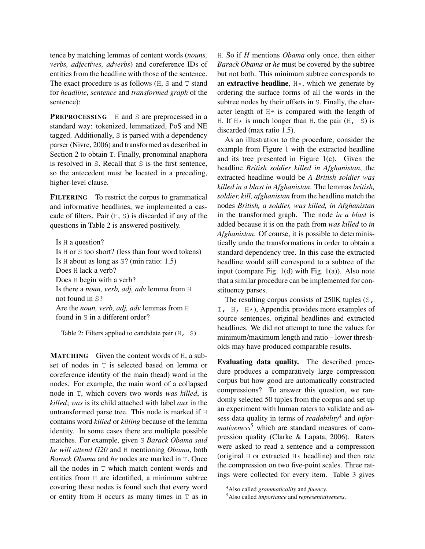tence by matching lemmas of content words (*nouns, verbs, adjectives, adverbs*) and coreference IDs of entities from the headline with those of the sentence. The exact procedure is as follows (H, S and T stand for *headline*, *sentence* and *transformed graph* of the sentence):

PREPROCESSING H and S are preprocessed in a standard way: tokenized, lemmatized, PoS and NE tagged. Additionally, S is parsed with a dependency parser (Nivre, 2006) and transformed as described in Section 2 to obtain T. Finally, pronominal anaphora is resolved in S. Recall that S is the first sentence, so the antecedent must be located in a preceding, higher-level clause.

FILTERING To restrict the corpus to grammatical and informative headlines, we implemented a cascade of filters. Pair (H, S) is discarded if any of the questions in Table 2 is answered positively.

|  |  |  |  | Is $H$ a question? |  |
|--|--|--|--|--------------------|--|
|--|--|--|--|--------------------|--|

Is H or S too short? (less than four word tokens) Is H about as long as S? (min ratio: 1.5) Does H lack a verb? Does H begin with a verb? Is there a *noun, verb, adj, adv* lemma from H not found in S? Are the *noun, verb, adj, adv* lemmas from H found in S in a different order?

Table 2: Filters applied to candidate pair  $(H, S)$ 

MATCHING Given the content words of H, a subset of nodes in T is selected based on lemma or coreference identity of the main (head) word in the nodes. For example, the main word of a collapsed node in T, which covers two words *was killed*, is *killed*; *was* is its child attached with label *aux* in the untransformed parse tree. This node is marked if H contains word *killed* or *killing* because of the lemma identity. In some cases there are multiple possible matches. For example, given S *Barack Obama said he will attend G20* and H mentioning *Obama*, both *Barack Obama* and *he* nodes are marked in T. Once all the nodes in T which match content words and entities from H are identified, a minimum subtree covering these nodes is found such that every word or entity from H occurs as many times in T as in H. So if *H* mentions *Obama* only once, then either *Barack Obama* or *he* must be covered by the subtree but not both. This minimum subtree corresponds to an extractive headline,  $H*$ , which we generate by ordering the surface forms of all the words in the subtree nodes by their offsets in S. Finally, the character length of  $H*$  is compared with the length of H. If  $H*$  is much longer than H, the pair  $(H, S)$  is discarded (max ratio 1.5).

As an illustration to the procedure, consider the example from Figure 1 with the extracted headline and its tree presented in Figure 1(c). Given the headline *British soldier killed in Afghanistan*, the extracted headline would be *A British soldier was killed in a blast in Afghanistan*. The lemmas *british, soldier, kill, afghanistan* from the headline match the nodes *British, a soldier, was killed, in Afghanistan* in the transformed graph. The node *in a blast* is added because it is on the path from *was killed* to *in Afghanistan*. Of course, it is possible to deterministically undo the transformations in order to obtain a standard dependency tree. In this case the extracted headline would still correspond to a subtree of the input (compare Fig. 1(d) with Fig. 1(a)). Also note that a similar procedure can be implemented for constituency parses.

The resulting corpus consists of 250K tuples (S,  $T$ , H, H $\star$ ), Appendix provides more examples of source sentences, original headlines and extracted headlines. We did not attempt to tune the values for minimum/maximum length and ratio – lower thresholds may have produced comparable results.

Evaluating data quality. The described procedure produces a comparatively large compression corpus but how good are automatically constructed compressions? To answer this question, we randomly selected 50 tuples from the corpus and set up an experiment with human raters to validate and assess data quality in terms of *readability*<sup>4</sup> and *informativeness*<sup>5</sup> which are standard measures of compression quality (Clarke & Lapata, 2006). Raters were asked to read a sentence and a compression (original H or extracted  $H*$  headline) and then rate the compression on two five-point scales. Three ratings were collected for every item. Table 3 gives

<sup>4</sup>Also called *grammaticality* and *fluency*.

<sup>5</sup>Also called *importance* and *representativeness*.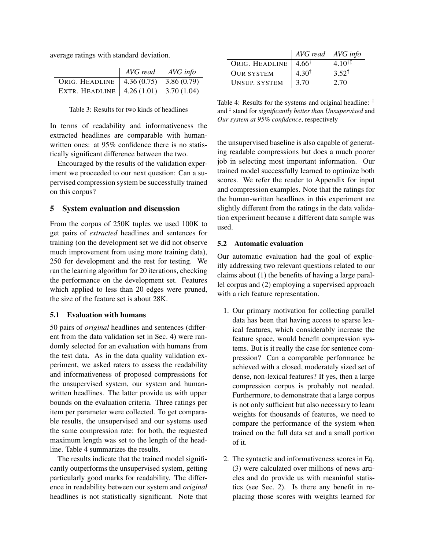average ratings with standard deviation.

|                                           | AVG read | AVG info |
|-------------------------------------------|----------|----------|
| ORIG. HEADLINE   4.36 (0.75) 3.86 (0.79)  |          |          |
| EXTR. HEADLINE   $4.26(1.01)$ 3.70 (1.04) |          |          |

Table 3: Results for two kinds of headlines

In terms of readability and informativeness the extracted headlines are comparable with humanwritten ones: at 95% confidence there is no statistically significant difference between the two.

Encouraged by the results of the validation experiment we proceeded to our next question: Can a supervised compression system be successfully trained on this corpus?

## 5 System evaluation and discussion

From the corpus of 250K tuples we used 100K to get pairs of *extracted* headlines and sentences for training (on the development set we did not observe much improvement from using more training data), 250 for development and the rest for testing. We ran the learning algorithm for 20 iterations, checking the performance on the development set. Features which applied to less than 20 edges were pruned, the size of the feature set is about 28K.

#### 5.1 Evaluation with humans

50 pairs of *original* headlines and sentences (different from the data validation set in Sec. 4) were randomly selected for an evaluation with humans from the test data. As in the data quality validation experiment, we asked raters to assess the readability and informativeness of proposed compressions for the unsupervised system, our system and humanwritten headlines. The latter provide us with upper bounds on the evaluation criteria. Three ratings per item per parameter were collected. To get comparable results, the unsupervised and our systems used the same compression rate: for both, the requested maximum length was set to the length of the headline. Table 4 summarizes the results.

The results indicate that the trained model significantly outperforms the unsupervised system, getting particularly good marks for readability. The difference in readability between our system and *original* headlines is not statistically significant. Note that

|                      | AVG read AVG info |                  |
|----------------------|-------------------|------------------|
| ORIG. HEADLINE       | $4.66^{\dagger}$  | $4.10^{\dagger}$ |
| <b>OUR SYSTEM</b>    | $4.30^{\dagger}$  | $3.52^{\dagger}$ |
| <b>UNSUP. SYSTEM</b> | 3.70              | 2.70             |

Table 4: Results for the systems and original headline: † and ‡ stand for *significantly better than Unsupervised* and *Our system at 95% confidence*, respectively

the unsupervised baseline is also capable of generating readable compressions but does a much poorer job in selecting most important information. Our trained model successfully learned to optimize both scores. We refer the reader to Appendix for input and compression examples. Note that the ratings for the human-written headlines in this experiment are slightly different from the ratings in the data validation experiment because a different data sample was used.

#### 5.2 Automatic evaluation

Our automatic evaluation had the goal of explicitly addressing two relevant questions related to our claims about (1) the benefits of having a large parallel corpus and (2) employing a supervised approach with a rich feature representation.

- 1. Our primary motivation for collecting parallel data has been that having access to sparse lexical features, which considerably increase the feature space, would benefit compression systems. But is it really the case for sentence compression? Can a comparable performance be achieved with a closed, moderately sized set of dense, non-lexical features? If yes, then a large compression corpus is probably not needed. Furthermore, to demonstrate that a large corpus is not only sufficient but also necessary to learn weights for thousands of features, we need to compare the performance of the system when trained on the full data set and a small portion of it.
- 2. The syntactic and informativeness scores in Eq. (3) were calculated over millions of news articles and do provide us with meaninful statistics (see Sec. 2). Is there any benefit in replacing those scores with weights learned for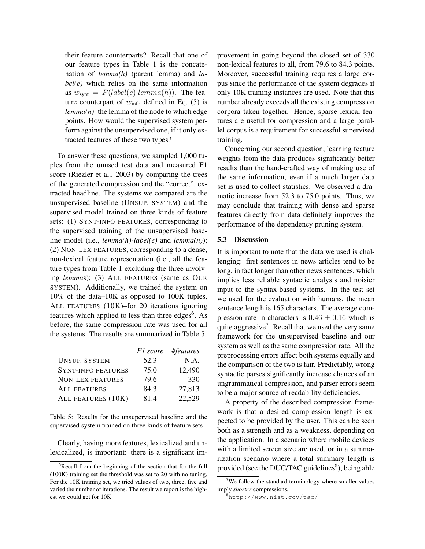their feature counterparts? Recall that one of our feature types in Table 1 is the concatenation of *lemma(h)* (parent lemma) and *label(e)* which relies on the same information as  $w_{\text{synt}} = P(label(e)|lemma(h))$ . The feature counterpart of  $w<sub>info</sub>$  defined in Eq. (5) is *lemma(n)*–the lemma of the node to which edge points. How would the supervised system perform against the unsupervised one, if it only extracted features of these two types?

To answer these questions, we sampled 1,000 tuples from the unused test data and measured F1 score (Riezler et al., 2003) by comparing the trees of the generated compression and the "correct", extracted headline. The systems we compared are the unsupervised baseline (UNSUP. SYSTEM) and the supervised model trained on three kinds of feature sets: (1) SYNT-INFO FEATURES, corresponding to the supervised training of the unsupervised baseline model (i.e., *lemma(h)-label(e)* and *lemma(n)*); (2) NON-LEX FEATURES, corresponding to a dense, non-lexical feature representation (i.e., all the feature types from Table 1 excluding the three involving *lemma*s); (3) ALL FEATURES (same as OUR SYSTEM). Additionally, we trained the system on 10% of the data–10K as opposed to 100K tuples, ALL FEATURES (10K)–for 20 iterations ignoring features which applied to less than three edges<sup>6</sup>. As before, the same compression rate was used for all the systems. The results are summarized in Table 5.

|                           | F1 score | #features |
|---------------------------|----------|-----------|
| <b>UNSUP. SYSTEM</b>      | 52.3     | N.A.      |
| <b>SYNT-INFO FEATURES</b> | 75.0     | 12,490    |
| <b>NON-LEX FEATURES</b>   | 79.6     | 330       |
| <b>ALL FEATURES</b>       | 84.3     | 27,813    |
| ALL FEATURES (10K)        | 81.4     | 22.529    |

Table 5: Results for the unsupervised baseline and the supervised system trained on three kinds of feature sets

Clearly, having more features, lexicalized and unlexicalized, is important: there is a significant improvement in going beyond the closed set of 330 non-lexical features to all, from 79.6 to 84.3 points. Moreover, successful training requires a large corpus since the performance of the system degrades if only 10K training instances are used. Note that this number already exceeds all the existing compression corpora taken together. Hence, sparse lexical features are useful for compression and a large parallel corpus is a requirement for successful supervised training.

Concerning our second question, learning feature weights from the data produces significantly better results than the hand-crafted way of making use of the same information, even if a much larger data set is used to collect statistics. We observed a dramatic increase from 52.3 to 75.0 points. Thus, we may conclude that training with dense and sparse features directly from data definitely improves the performance of the dependency pruning system.

### 5.3 Discussion

It is important to note that the data we used is challenging: first sentences in news articles tend to be long, in fact longer than other news sentences, which implies less reliable syntactic analysis and noisier input to the syntax-based systems. In the test set we used for the evaluation with humans, the mean sentence length is 165 characters. The average compression rate in characters is  $0.46 \pm 0.16$  which is quite aggressive<sup>7</sup>. Recall that we used the very same framework for the unsupervised baseline and our system as well as the same compression rate. All the preprocessing errors affect both systems equally and the comparison of the two is fair. Predictably, wrong syntactic parses significantly increase chances of an ungrammatical compression, and parser errors seem to be a major source of readability deficiencies.

A property of the described compression framework is that a desired compression length is expected to be provided by the user. This can be seen both as a strength and as a weakness, depending on the application. In a scenario where mobile devices with a limited screen size are used, or in a summarization scenario where a total summary length is provided (see the DUC/TAC guidelines<sup>8</sup>), being able

<sup>&</sup>lt;sup>6</sup>Recall from the beginning of the section that for the full (100K) training set the threshold was set to 20 with no tuning. For the 10K training set, we tried values of two, three, five and varied the number of iterations. The result we report is the highest we could get for 10K.

<sup>&</sup>lt;sup>7</sup>We follow the standard terminology where smaller values imply *shorter* compressions.

<sup>8</sup>http://www.nist.gov/tac/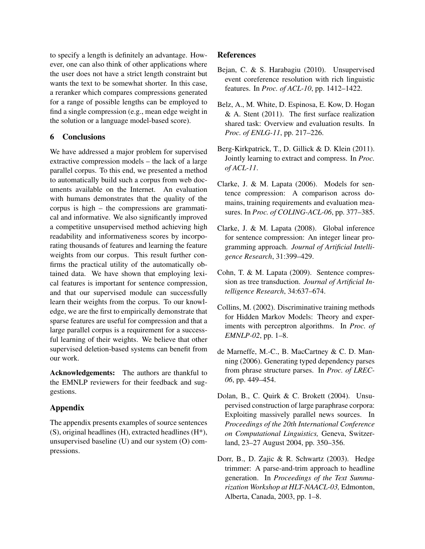to specify a length is definitely an advantage. However, one can also think of other applications where the user does not have a strict length constraint but wants the text to be somewhat shorter. In this case, a reranker which compares compressions generated for a range of possible lengths can be employed to find a single compression (e.g., mean edge weight in the solution or a language model-based score).

# 6 Conclusions

We have addressed a major problem for supervised extractive compression models – the lack of a large parallel corpus. To this end, we presented a method to automatically build such a corpus from web documents available on the Internet. An evaluation with humans demonstrates that the quality of the corpus is high – the compressions are grammatical and informative. We also significantly improved a competitive unsupervised method achieving high readability and informativeness scores by incorporating thousands of features and learning the feature weights from our corpus. This result further confirms the practical utility of the automatically obtained data. We have shown that employing lexical features is important for sentence compression, and that our supervised module can successfully learn their weights from the corpus. To our knowledge, we are the first to empirically demonstrate that sparse features are useful for compression and that a large parallel corpus is a requirement for a successful learning of their weights. We believe that other supervised deletion-based systems can benefit from our work.

Acknowledgements: The authors are thankful to the EMNLP reviewers for their feedback and suggestions.

## Appendix

The appendix presents examples of source sentences (S), original headlines (H), extracted headlines (H\*), unsupervised baseline (U) and our system (O) compressions.

# References

- Bejan, C. & S. Harabagiu (2010). Unsupervised event coreference resolution with rich linguistic features. In *Proc. of ACL-10*, pp. 1412–1422.
- Belz, A., M. White, D. Espinosa, E. Kow, D. Hogan  $&$  A. Stent (2011). The first surface realization shared task: Overview and evaluation results. In *Proc. of ENLG-11*, pp. 217–226.
- Berg-Kirkpatrick, T., D. Gillick & D. Klein (2011). Jointly learning to extract and compress. In *Proc. of ACL-11*.
- Clarke, J. & M. Lapata (2006). Models for sentence compression: A comparison across domains, training requirements and evaluation measures. In *Proc. of COLING-ACL-06*, pp. 377–385.
- Clarke, J. & M. Lapata (2008). Global inference for sentence compression: An integer linear programming approach. *Journal of Artificial Intelligence Research*, 31:399–429.
- Cohn, T. & M. Lapata (2009). Sentence compression as tree transduction. *Journal of Artificial Intelligence Research*, 34:637–674.
- Collins, M. (2002). Discriminative training methods for Hidden Markov Models: Theory and experiments with perceptron algorithms. In *Proc. of EMNLP-02*, pp. 1–8.
- de Marneffe, M.-C., B. MacCartney & C. D. Manning (2006). Generating typed dependency parses from phrase structure parses. In *Proc. of LREC-06*, pp. 449–454.
- Dolan, B., C. Quirk & C. Brokett (2004). Unsupervised construction of large paraphrase corpora: Exploiting massively parallel news sources. In *Proceedings of the 20th International Conference on Computational Linguistics,* Geneva, Switzerland, 23–27 August 2004, pp. 350–356.
- Dorr, B., D. Zajic & R. Schwartz (2003). Hedge trimmer: A parse-and-trim approach to headline generation. In *Proceedings of the Text Summarization Workshop at HLT-NAACL-03,* Edmonton, Alberta, Canada, 2003, pp. 1–8.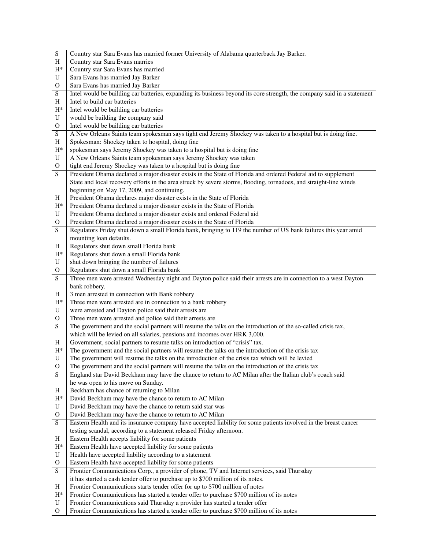| S                              | Country star Sara Evans has married former University of Alabama quarterback Jay Barker.                                                                                    |
|--------------------------------|-----------------------------------------------------------------------------------------------------------------------------------------------------------------------------|
| H                              | Country star Sara Evans marries                                                                                                                                             |
| $H^*$                          | Country star Sara Evans has married                                                                                                                                         |
| U                              | Sara Evans has married Jay Barker                                                                                                                                           |
| $\mathbf{O}$                   | Sara Evans has married Jay Barker                                                                                                                                           |
| ${\bf S}$                      | Intel would be building car batteries, expanding its business beyond its core strength, the company said in a statement                                                     |
| H                              | Intel to build car batteries                                                                                                                                                |
| $H^*$                          | Intel would be building car batteries                                                                                                                                       |
| U                              | would be building the company said                                                                                                                                          |
| $\mathbf{O}$                   | Intel would be building car batteries                                                                                                                                       |
| $\overline{S}$                 | A New Orleans Saints team spokesman says tight end Jeremy Shockey was taken to a hospital but is doing fine.                                                                |
| H                              | Spokesman: Shockey taken to hospital, doing fine                                                                                                                            |
| $H^*$                          | spokesman says Jeremy Shockey was taken to a hospital but is doing fine                                                                                                     |
| U                              | A New Orleans Saints team spokesman says Jeremy Shockey was taken                                                                                                           |
| $\mathbf{O}$                   | tight end Jeremy Shockey was taken to a hospital but is doing fine                                                                                                          |
| S                              | President Obama declared a major disaster exists in the State of Florida and ordered Federal aid to supplement                                                              |
|                                | State and local recovery efforts in the area struck by severe storms, flooding, tornadoes, and straight-line winds                                                          |
|                                | beginning on May 17, 2009, and continuing.                                                                                                                                  |
| H                              | President Obama declares major disaster exists in the State of Florida                                                                                                      |
| $H^*$                          | President Obama declared a major disaster exists in the State of Florida                                                                                                    |
| U                              | President Obama declared a major disaster exists and ordered Federal aid                                                                                                    |
| $\mathbf{O}$                   | President Obama declared a major disaster exists in the State of Florida                                                                                                    |
| S                              | Regulators Friday shut down a small Florida bank, bringing to 119 the number of US bank failures this year amid                                                             |
|                                | mounting loan defaults.                                                                                                                                                     |
| H<br>$H^*$                     | Regulators shut down small Florida bank<br>Regulators shut down a small Florida bank                                                                                        |
| U                              | shut down bringing the number of failures                                                                                                                                   |
| O                              | Regulators shut down a small Florida bank                                                                                                                                   |
| S                              | Three men were arrested Wednesday night and Dayton police said their arrests are in connection to a west Dayton                                                             |
|                                | bank robbery.                                                                                                                                                               |
| H                              | 3 men arrested in connection with Bank robbery                                                                                                                              |
| $H^*$                          | Three men were arrested are in connection to a bank robbery                                                                                                                 |
| U                              | were arrested and Dayton police said their arrests are                                                                                                                      |
| $\mathbf{O}$                   | Three men were arrested and police said their arrests are                                                                                                                   |
| S                              | The government and the social partners will resume the talks on the introduction of the so-called crisis tax,                                                               |
|                                | which will be levied on all salaries, pensions and incomes over HRK 3,000.                                                                                                  |
| H                              | Government, social partners to resume talks on introduction of "crisis" tax.                                                                                                |
| $H^*$                          | The government and the social partners will resume the talks on the introduction of the crisis tax                                                                          |
| U                              | The government will resume the talks on the introduction of the crisis tax which will be levied                                                                             |
| $\mathbf{O}$                   | The government and the social partners will resume the talks on the introduction of the crisis tax                                                                          |
| S                              | England star David Beckham may have the chance to return to AC Milan after the Italian club's coach said                                                                    |
|                                | he was open to his move on Sunday.                                                                                                                                          |
| H                              | Beckham has chance of returning to Milan                                                                                                                                    |
| $H^*$                          | David Beckham may have the chance to return to AC Milan                                                                                                                     |
| U                              | David Beckham may have the chance to return said star was                                                                                                                   |
| $\mathbf{O}$<br>$\overline{S}$ | David Beckham may have the chance to return to AC Milan<br>Eastern Health and its insurance company have accepted liability for some patients involved in the breast cancer |
|                                | testing scandal, according to a statement released Friday afternoon.                                                                                                        |
| H                              | Eastern Health accepts liability for some patients                                                                                                                          |
| $H^*$                          | Eastern Health have accepted liability for some patients                                                                                                                    |
| ${\bf U}$                      | Health have accepted liability according to a statement                                                                                                                     |
| $\mathbf{O}$                   | Eastern Health have accepted liability for some patients                                                                                                                    |
| $\mathbf S$                    | Frontier Communications Corp., a provider of phone, TV and Internet services, said Thursday                                                                                 |
|                                | it has started a cash tender offer to purchase up to \$700 million of its notes.                                                                                            |
| H                              | Frontier Communications starts tender offer for up to \$700 million of notes                                                                                                |
| $H^*$                          | Frontier Communications has started a tender offer to purchase \$700 million of its notes                                                                                   |
|                                |                                                                                                                                                                             |
| U                              | Frontier Communications said Thursday a provider has started a tender offer                                                                                                 |